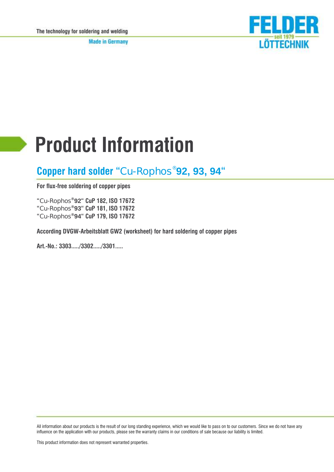**Made in Germany** 



# **Product Information**

# **Copper hard solder "**Cu-Ro**phos® 92, 93, 94"**

**For flux-free soldering of copper pipes**

**"**Cu-Ro**phos®92" CuP 182, ISO 17672 "**Cu-Ro**phos®93" CuP 181, ISO 17672 "**Cu-Ro**phos®94" CuP 179, ISO 17672**

**According DVGW-Arbeitsblatt GW2 (worksheet) for hard soldering of copper pipes**

**Art.-No.: 3303...../3302...../3301.....**

All information about our products is the result of our long standing experience, which we would like to pass on to our customers. Since we do not have any influence on the application with our products, please see the warranty claims in our conditions of sale because our liability is limited.

This product information does not represent warranted properties.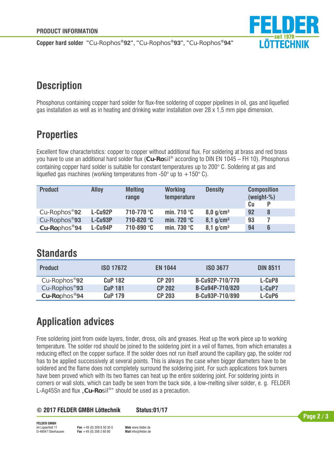

**Copper hard solder "**Cu-Ro**phos®92", "**Cu-Ro**phos®93", "**Cu-Ro**phos®94"**

# **Description**

Phosphorus containing copper hard solder for flux-free soldering of copper pipelines in oil, gas and liquefied gas installation as well as in heating and drinking water installation over 28 x 1,5 mm pipe dimension.

# **Properties**

Excellent flow characteristics: copper to copper without additional flux. For soldering at brass and red brass you have to use an additional hard solder flux (**Cu-Rosil**® according to DIN EN 1045 – FH 10). Phosphorus containing copper hard solder is suitable for constant temperatures up to 200° C. Soldering at gas and liquefied gas machines (working temperatures from  $-50^{\circ}$  up to  $+150^{\circ}$  C).

| <b>Product</b> | <b>Alloy</b> | <b>Melting</b><br>range | <b>Working</b><br>temperature | <b>Density</b>          | <b>Composition</b><br>$(weight-%)$<br>Cu |
|----------------|--------------|-------------------------|-------------------------------|-------------------------|------------------------------------------|
| Cu-Rophos®92   | L-Cu92P      | 710-770 °C              | min. 710 $\degree$ C          | $8,0$ g/cm <sup>3</sup> | 92                                       |
| Cu-Rophos®93   | L-Cu93P      | 710-820 °C              | min. 720 $\degree$ C          | $8,1$ g/cm <sup>3</sup> | 93                                       |
| Cu-Rophos®94   | $L-Cu94P$    | 710-890 °C              | min. 730 $\degree$ C          | $8,1$ g/cm <sup>3</sup> | 94<br>6                                  |

### **Standards**

| <b>Product</b> | <b>ISO 17672</b> | <b>EN 1044</b> | <b>ISO 3677</b> | <b>DIN 8511</b> |
|----------------|------------------|----------------|-----------------|-----------------|
| Cu-Rophos®92   | <b>CuP 182</b>   | <b>CP 201</b>  | B-Cu92P-710/770 | L-CuP8          |
| Cu-Rophos®93   | <b>CuP 181</b>   | <b>CP 202</b>  | B-Cu94P-710/820 | L-CuP7          |
| Cu-Rophos®94   | <b>CuP 179</b>   | <b>CP 203</b>  | B-Cu93P-710/890 | L-CuP6          |

# **Application advices**

Free soldering joint from oxide layers, tinder, dross, oils and greases. Heat up the work piece up to working temperature. The solder rod should be joined to the soldering joint in a veil of flames, from which emanates a reducing effect on the copper surface. If the solder does not run itself around the capillary gap, the solder rod has to be applied successively at several points. This is always the case when bigger diameters have to be soldered and the flame does not completely surround the soldering joint. For such applications fork burners have been proved which with its two flames can heat up the entire soldering joint. For soldering joints in corners or wall slots, which can badly be seen from the back side, a low-melting silver solder, e. g. FELDER L-Ag45Sn and flux "**Cu-Rosil**® " should be used as a precaution.

#### **© 2017 FELDER GMBH Löttechnik Status:01/17**

**FELDER GMBH** Im Lipperfeld 11 D-46047 Oberhausen **Fon** +49 (0) 208 8 50 35 0 **Fax** +49 (0) 208 2 60 80 **Web** www.felder.de **Mail** info@felder.de